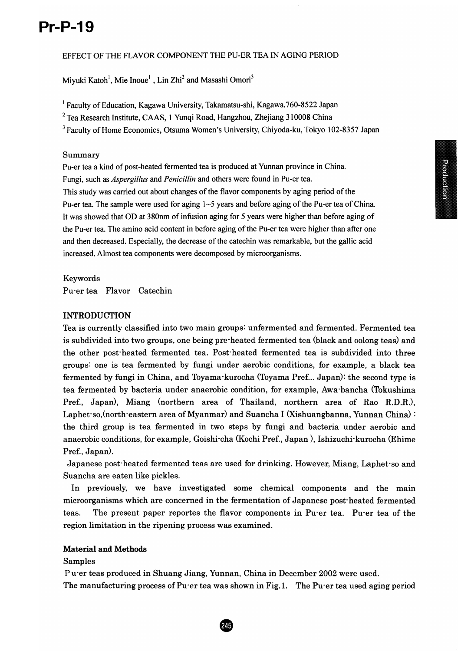# **Pr-P-19 Pr-P-19**

# EFFECT OF THE FLAVOR COMPONENT THE PU-ER TEA IN AGING PERIOD

Miyuki Katoh<sup>1</sup>, Mie Inoue<sup>1</sup>, Lin Zhi<sup>2</sup> and Masashi Omori<sup>3</sup>

EFFECT OF THE FLAVOR COMPONENT THE PU-ER TEA IN AGING PERIOD<br>Miyuki Katoh<sup>1</sup>, Mie Inoue<sup>1</sup> , Lin Zhi<sup>2</sup> and Masashi Omori<sup>3</sup><br><sup>1</sup> Faculty of Education, Kagawa University, Takamatsu-shi, Kagawa.760-8522 Japan

 $<sup>2</sup>$  Tea Research Institute, CAAS, 1 Yunqi Road, Hangzhou, Zhejiang 310008 China</sup>

<sup>3</sup> Faculty of Home Economics, Otsuma Women's University, Chiyoda-ku, Tokyo 102-8357 Japan<br>Summary

#### Summary

Pu-er tea a kind of post-heated fermented tea is produced at Yunnan province in China.<br>Fungi, such as *Aspergillus* and *Penicillin* and others were found in Pu-er tea. Fungi, such as *Aspergillus* and *Penicillin* and others were found in Pu-er tea. This study was carried out about changes of the flavor components by aging period of the Pu-er tea. The sample were used for aging  $1~5$  years and before aging of the Pu-er tea of China. It was showed that OD at 380nm of infusion aging for 5 years were higher than before aging of the Pu-er tea. The amino acid content in before aging of the Pu-er tea were higher than after one and then decreased. Especially, the decrease of the catechin was remarkable, but the gallic acid<br>increased. Almost tea components were decomposed by microorganisms. increased. Almost tea components were decomposed by microorganisms.

## Keywords

Pu-er tea Flavor Catechin

# INTRODUCTION

Keywords<br>Pu<sup>-</sup>er tea Flavor Catechin<br>INTRODUCTION<br>Tea is currently classified into two main groups: unfermented and fermented. Fermented tea is subdivided into two groups, one being pre-heated fermented tea (black and oolong teas) and is subdivided into two groups, one being pre-heated fermented tea (black and oolong teas) and<br>the other post-heated fermented tea. Post-heated fermented tea is subdivided into three groups: one is tea fermented by fungi under aerobic conditions, for example, a black tea fermented by fungi in China, and Toyama-kurocha (Toyama Pref... Japan): the second type is tea fermented by bacteria under anaerobic condition, for example, Awa-bancha (Tokushima Pref., Japan), Miang (northern area of Thailand, northern area of Rao R.D.R.), Laphet-so,(north-eastern area of Myanmar) and Suancha I (Xishuangbanna, Yunnan China) : the third group is tea fermented in two steps by fungi and bacteria under aerobic and the third group is tea fermented in two steps by fungi and bacteria under aerobic and<br>anaerobic conditions, for example, Goishi-cha (Kochi Pref., Japan ), Ishizuchi-kurocha (Ehime Pref., Japan). Pref., Japan). fermented by fungi in China, and Toyama-kurocha (Toyama Pref... Japan): the second type is<br>tea fermented by bacteria under anaerobic condition, for example, Awa-bancha (Tokushima<br>Pref., Japan), Miang (northern area o

Japanese post-heated fermented teas are used for drinking. However, Miang, Laphet-so and<br>Suancha are eaten like pickles. Suancha are eaten like pickles.

In previously, we have investigated some chemical components and the main microorganisms which are concerned in the fermentation of Japanese post-heated fermented teas. The present paper reportes the flavor components in Pu-er tea. Pu-er tea of the region limitation in the ripening process was examined.<br>Material and Methods

#### Material and Methods

Samples Samples

Pu-er teas produced in Shuang Jiang, Yunnan, China in December 2002 were used.

Puer teas produced in Shuang Jiang, Yunnan, China in December 2002 were used.<br>The manufacturing process of Puer tea was shown in Fig.1. The Puer tea used aging period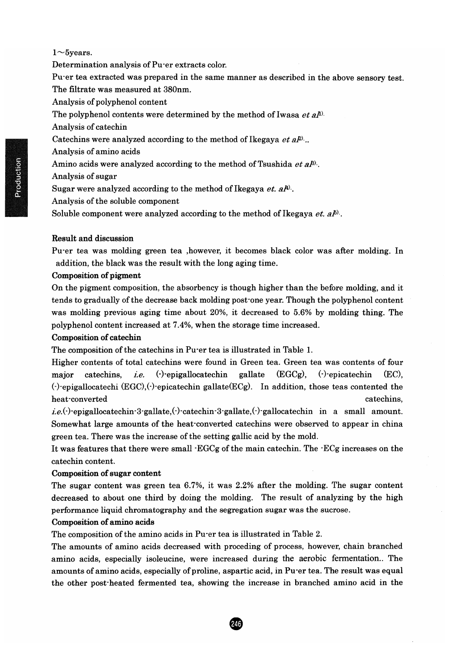#### 1 $\sim$ 5years.

Determination analysis of Pu-er extracts color.

Determination analysis of Pu<sup>-</sup>er extracts color.<br>Pu-er tea extracted was prepared in the same manner as described in the above sensory test. The filtrate was measured at 380nm.

Analysis of polyphenol content

The polyphenol contents were determined by the method of Iwasa *et al*<sup>0</sup>.

Analysis of catechin

The polyphenol contents were determined by the method of Iwasa *et*<br>Analysis of catechin<br>Catechins were analyzed according to the method of Ikegaya *et aP* ..

Analysis of amino acids

Amino acids were analyzed according to the method of Tsushida *et al*<sup>g)</sup>.

Analysis of sugar

Sugar were analyzed according to the method of Ikegaya *et. al*<sup>y)</sup>.<br>Analysis of the soluble component

Analysis of the soluble component

Soluble component were analyzed according to the method of Ikegaya *et.*  $a\bar{b}$ .

#### Result and discussion

Soluble component were analyzed according to the method of Ikegaya *et. al*<sup>5).</sup>.<br>Result and discussion<br>Pu<sup>-</sup>er tea was molding green tea ,however, it becomes black color was after molding. In addition, the black was the result with the long aging time.

#### Composition of pigment

On the pigment composition, the absorbency is though higher than the before molding, and it<br>tends to gradually of the decrease back molding post one year. Though the polyphenol content<br>was molding previous aging time abou tends to gradually of the decrease back molding post-one year. Though the polyphenol content was molding previous aging time about 20%, it decreased to 5.6% by molding thing. The polyphenol content increased at 7.4%, when the storage time increased.

#### Composition of catechin

The composition of the catechins in Pu-er tea is illustrated in Table 1.

Higher contents of total catechins were found in Green tea. Green tea was contents of four major catechins, *i.e.* ( $\cdot$ )-epigallocatechin gallate (EGCg),  $(\cdot)$ -epicatechin (EC), The composition of the catechins in Pu er tea is illustrated in Table 1.<br>Higher contents of total catechins were found in Green tea. Green tea was contents of four<br>major catechins, *i.e.* (·)·epigallocatechin gallate (EGC heat-converted catechins,

*i.e.*(-)-epigallocatechin-3-gallate,(-)-catechin-3-gallate,(-)-gallocatechin in a small amount. *i.e.* Somewhat large amounts of the heat-converted catechins were observed to appear in china<br>green tea. There was the increase of the setting gallic acid by the mold.<br>It was features that there were small ·EGCg of the main cate green tea. There was the increase of the setting gallic acid by the mold.

It was features that there were small -EGCg of the main catechin. The·ECg increases on the catechin content.

#### Composition of sugar content

The sugar content was green tea 6.7%, it was 2.2% after the molding. The sugar content decreased to about one third by doing the molding. The result of analyzing by the high performance liquid chromatography and the segregation sugar was the sucrose. catechin content.<br>The sugar content was green tea 6.7%, it was 2.2% after the molding. The sugar content<br>decreased to about one third by doing the molding. The result of analyzing by the high<br>performance liquid chromatogra

## Composition of amino acids

The composition of the amino acids in Pu-er tea is illustrated in Table 2.

The amounts of amino acids decreased with proceding of process, however, chain branched amino acids, especially isoleucine, were increased during the aerobic fermentation.. The amounts of amino acids, especially of proline, aspartic acid, in Pu-er tea. The result was equal the other post-heated fermented tea, showing the increase in branched amino acid in the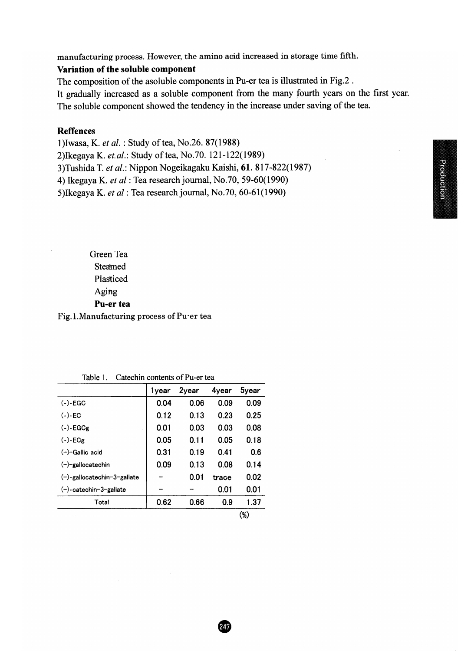manufacturing process. However, the amino acid increased in storage time fifth.

# Variation of the soluble component

The composition of the asoluble components in Pu-er tea is illustrated in Fig.2.

It gradually increased as a soluble component from the many fourth years on the first year. It gradually increased as a soluble component from the many fourth years on the first year.<br>The soluble component showed the tendency in the increase under saving of the tea.

# Reffences Reffences

l)Iwasa, K. *et ale* : Study oftea, No.26. 87(1988)

1)Iwasa, K. *et al*. : Study of tea, No.26. 87(1988)<br>2)Ikegaya K. *et.al*.: Study of tea, No.70. 121-122(1989)

3)Tushida T. *et al*.: Nippon Nogeikagaku Kaishi, 61. 817-822(1987)

4) Ikegaya K. *et al:* Tea research journal, No.70, 59-60(1990) *et*

5)Ikegaya K. *et al* : Tea research journal, No.70, 60-61(1990)

Green Tea **Steamed** Plasticed Aging Pu-er tea

| Steamed                                    |       |       |       |              |  |  |  |
|--------------------------------------------|-------|-------|-------|--------------|--|--|--|
| Plasticed                                  |       |       |       |              |  |  |  |
| Aging                                      |       |       |       |              |  |  |  |
| Pu-er tea                                  |       |       |       |              |  |  |  |
| Fig.1.Manufacturing process of Pu-er tea   |       |       |       |              |  |  |  |
|                                            |       |       |       |              |  |  |  |
|                                            |       |       |       |              |  |  |  |
|                                            |       |       |       |              |  |  |  |
|                                            |       |       |       |              |  |  |  |
| Catechin contents of Pu-er tea<br>Table 1. |       |       |       |              |  |  |  |
|                                            | 1year | 2year | 4year | <b>5year</b> |  |  |  |
| $(-)$ -EGC                                 | 0.04  | 0.06  | 0.09  | 0.09         |  |  |  |
| $(-)$ -EC                                  | 0.12  | 0.13  | 0.23  | 0.25         |  |  |  |
| $(-)$ -EGCg                                | 0.01  | 0.03  | 0.03  | 0.08         |  |  |  |
| $(-)$ -ECg                                 | 0.05  | 0.11  | 0.05  | 0.18         |  |  |  |
| $(-)$ -Gallic acid                         | 0.31  | 0.19  | 0.41  | 0.6          |  |  |  |
| $(-)$ -gallocatechin                       | 0.09  | 0.13  | 0.08  | 0.14         |  |  |  |
| $(-)$ -gallocatechin-3-gallate             |       | 0.01  | trace | 0.02         |  |  |  |
| (−)-catechin-3-gallate                     |       |       | 0.01  | 0.01         |  |  |  |
| Total                                      | 0.62  | 0.66  | 0.9   | 1.37         |  |  |  |
|                                            |       |       |       | $(\%)$       |  |  |  |